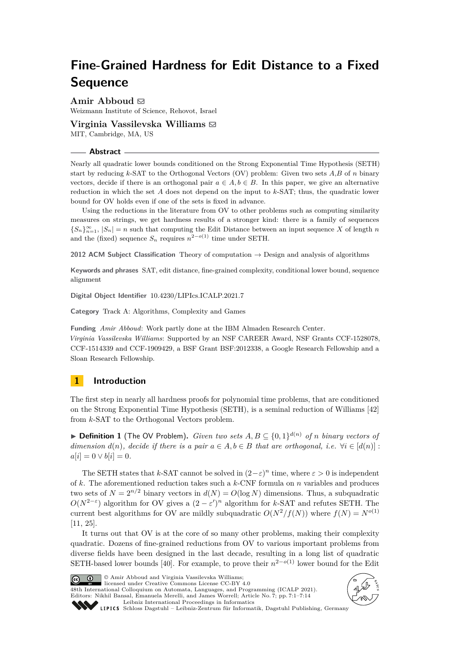# **Fine-Grained Hardness for Edit Distance to a Fixed Sequence**

Amir Abboud  $\boxdot$ 

Weizmann Institute of Science, Rehovot, Israel

# **Virginia Vassilevska Williams** [#](mailto:virgi@mit.edu)

MIT, Cambridge, MA, US

## **Abstract**

Nearly all quadratic lower bounds conditioned on the Strong Exponential Time Hypothesis (SETH) start by reducing *k*-SAT to the Orthogonal Vectors (OV) problem: Given two sets *A*,*B* of *n* binary vectors, decide if there is an orthogonal pair  $a \in A, b \in B$ . In this paper, we give an alternative reduction in which the set *A* does not depend on the input to *k*-SAT; thus, the quadratic lower bound for OV holds even if one of the sets is fixed in advance.

Using the reductions in the literature from OV to other problems such as computing similarity measures on strings, we get hardness results of a stronger kind: there is a family of sequences  ${S_n}_{n=1}^{\infty}$ ,  $|S_n| = n$  such that computing the Edit Distance between an input sequence *X* of length *n* and the (fixed) sequence  $S_n$  requires  $n^{2-o(1)}$  time under SETH.

**2012 ACM Subject Classification** Theory of computation → Design and analysis of algorithms

**Keywords and phrases** SAT, edit distance, fine-grained complexity, conditional lower bound, sequence alignment

**Digital Object Identifier** [10.4230/LIPIcs.ICALP.2021.7](https://doi.org/10.4230/LIPIcs.ICALP.2021.7)

**Category** Track A: Algorithms, Complexity and Games

**Funding** *Amir Abboud*: Work partly done at the IBM Almaden Research Center. *Virginia Vassilevska Williams*: Supported by an NSF CAREER Award, NSF Grants CCF-1528078, CCF-1514339 and CCF-1909429, a BSF Grant BSF:2012338, a Google Research Fellowship and a Sloan Research Fellowship.

# **1 Introduction**

The first step in nearly all hardness proofs for polynomial time problems, that are conditioned on the Strong Exponential Time Hypothesis (SETH), is a seminal reduction of Williams [\[42\]](#page-13-0) from *k*-SAT to the Orthogonal Vectors problem.

<span id="page-0-0"></span>▶ **Definition 1** (The OV Problem). *Given two sets*  $A, B \subseteq \{0,1\}^{d(n)}$  *of n binary vectors of dimension*  $d(n)$ *, decide if there is a pair*  $a \in A, b \in B$  *that are orthogonal, i.e.*  $\forall i \in [d(n)]$ :  $a[i] = 0 \vee b[i] = 0.$ 

The SETH states that *k*-SAT cannot be solved in  $(2-\varepsilon)^n$  time, where  $\varepsilon > 0$  is independent of *k*. The aforementioned reduction takes such a *k*-CNF formula on *n* variables and produces two sets of  $N = 2^{n/2}$  binary vectors in  $d(N) = O(\log N)$  dimensions. Thus, a subquadratic  $O(N^{2-\epsilon})$  algorithm for OV gives a  $(2-\epsilon')^n$  algorithm for *k*-SAT and refutes SETH. The current best algorithms for OV are mildly subquadratic  $O(N^2/f(N))$  where  $f(N) = N^{o(1)}$ [\[11,](#page-11-0) [25\]](#page-12-0).

It turns out that OV is at the core of so many other problems, making their complexity quadratic. Dozens of fine-grained reductions from OV to various important problems from diverse fields have been designed in the last decade, resulting in a long list of quadratic SETH-based lower bounds [\[40\]](#page-13-1). For example, to prove their  $n^{2-o(1)}$  lower bound for the Edit



© Amir Abboud and Virginia Vassilevska Williams; licensed under Creative Commons License CC-BY 4.0

48th International Colloquium on Automata, Languages, and Programming (ICALP 2021). Editors: Nikhil Bansal, Emanuela Merelli, and James Worrell; Article No. 7; pp. 7:1–7:14 [Leibniz International Proceedings in Informatics](https://www.dagstuhl.de/lipics/)



SCHLOSS Dagstuhl – Leibniz-Zentrum für Informatik, Dagstuhl Publishing, Germany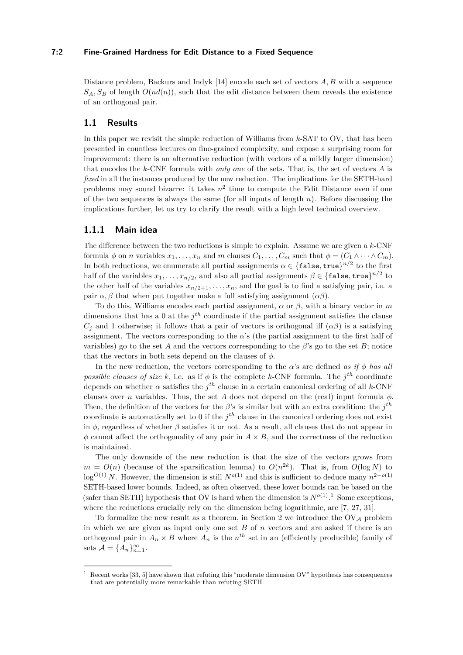# **7:2 Fine-Grained Hardness for Edit Distance to a Fixed Sequence**

Distance problem, Backurs and Indyk [\[14\]](#page-11-1) encode each set of vectors *A, B* with a sequence  $S_A$ ,  $S_B$  of length  $O(nd(n))$ , such that the edit distance between them reveals the existence of an orthogonal pair.

# <span id="page-1-1"></span>**1.1 Results**

In this paper we revisit the simple reduction of Williams from *k*-SAT to OV, that has been presented in countless lectures on fine-grained complexity, and expose a surprising room for improvement: there is an alternative reduction (with vectors of a mildly larger dimension) that encodes the *k*-CNF formula with *only one* of the sets. That is, the set of vectors *A* is *fixed* in all the instances produced by the new reduction. The implications for the SETH-hard problems may sound bizarre: it takes  $n^2$  time to compute the Edit Distance even if one of the two sequences is always the same (for all inputs of length *n*). Before discussing the implications further, let us try to clarify the result with a high level technical overview.

## **1.1.1 Main idea**

The difference between the two reductions is simple to explain. Assume we are given a *k*-CNF formula  $\phi$  on *n* variables  $x_1, \ldots, x_n$  and *m* clauses  $C_1, \ldots, C_m$  such that  $\phi = (C_1 \wedge \cdots \wedge C_m)$ . In both reductions, we enumerate all partial assignments  $\alpha \in \{\texttt{false}, \texttt{true}\}^{n/2}$  to the first half of the variables  $x_1, \ldots, x_{n/2}$ , and also all partial assignments  $\beta \in \{\texttt{false}, \texttt{true}\}^{n/2}$  to the other half of the variables  $x_{n/2+1}, \ldots, x_n$ , and the goal is to find a satisfying pair, i.e. a pair  $\alpha$ ,  $\beta$  that when put together make a full satisfying assignment  $(\alpha\beta)$ .

To do this, Williams encodes each partial assignment, *α* or *β*, with a binary vector in *m* dimensions that has a 0 at the  $j<sup>th</sup>$  coordinate if the partial assignment satisfies the clause  $C_i$  and 1 otherwise; it follows that a pair of vectors is orthogonal iff  $(\alpha\beta)$  is a satisfying assignment. The vectors corresponding to the *α*'s (the partial assignment to the first half of variables) go to the set *A* and the vectors corresponding to the  $\beta$ 's go to the set *B*; notice that the vectors in both sets depend on the clauses of  $\phi$ .

In the new reduction, the vectors corresponding to the *α*'s are defined *as if*  $\phi$  *has all possible clauses of size*  $k$ , i.e. as if  $\phi$  is the complete  $k$ -CNF formula. The  $j^{th}$  coordinate depends on whether *α* satisfies the *j th* clause in a certain canonical ordering of all *k*-CNF clauses over *n* variables. Thus, the set *A* does not depend on the (real) input formula  $\phi$ . Then, the definition of the vectors for the *β*'s is similar but with an extra condition: the  $j<sup>th</sup>$ coordinate is automatically set to 0 if the  $j<sup>th</sup>$  clause in the canonical ordering does not exist in  $\phi$ , regardless of whether  $\beta$  satisfies it or not. As a result, all clauses that do not appear in  $\phi$  cannot affect the orthogonality of any pair in  $A \times B$ , and the correctness of the reduction is maintained.

The only downside of the new reduction is that the size of the vectors grows from  $m = O(n)$  (because of the sparsification lemma) to  $O(n^{2k})$ . That is, from  $O(\log N)$  to  $\log^{O(1)} N$ . However, the dimension is still  $N^{o(1)}$  and this is sufficient to deduce many  $n^{2-o(1)}$ SETH-based lower bounds. Indeed, as often observed, these lower bounds can be based on the (safer than SETH) hypothesis that OV is hard when the dimension is  $N^{o(1)}$  $N^{o(1)}$  $N^{o(1)}$ .<sup>1</sup> Some exceptions, where the reductions crucially rely on the dimension being logarithmic, are [\[7,](#page-11-2) [27,](#page-12-1) [31\]](#page-12-2).

To formalize the new result as a theorem, in Section [2](#page-4-0) we introduce the  $\overline{O}V_A$  problem in which we are given as input only one set *B* of *n* vectors and are asked if there is an orthogonal pair in  $A_n \times B$  where  $A_n$  is the  $n^{th}$  set in an (efficiently producible) family of sets  $\mathcal{A} = \{A_n\}_{n=1}^{\infty}$ .

<span id="page-1-0"></span>Recent works [\[33,](#page-12-3) [5\]](#page-10-0) have shown that refuting this "moderate dimension OV" hypothesis has consequences that are potentially more remarkable than refuting SETH.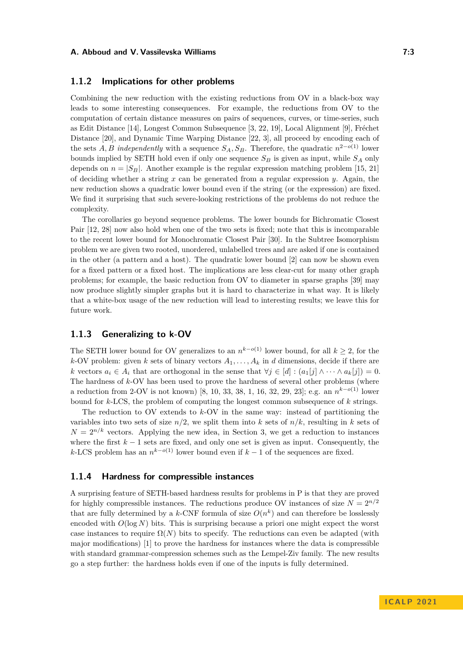# **1.1.2 Implications for other problems**

Combining the new reduction with the existing reductions from OV in a black-box way leads to some interesting consequences. For example, the reductions from OV to the computation of certain distance measures on pairs of sequences, curves, or time-series, such as Edit Distance [\[14\]](#page-11-1), Longest Common Subsequence [\[3,](#page-10-1) [22,](#page-11-3) [19\]](#page-11-4), Local Alignment [\[9\]](#page-11-5), Fréchet Distance [\[20\]](#page-11-6), and Dynamic Time Warping Distance [\[22,](#page-11-3) [3\]](#page-10-1), all proceed by encoding each of the sets *A, B independently* with a sequence  $S_A$ *,*  $S_B$ . Therefore, the quadratic  $n^{2-o(1)}$  lower bounds implied by SETH hold even if only one sequence  $S_B$  is given as input, while  $S_A$  only depends on  $n = |S_B|$ . Another example is the regular expression matching problem [\[15,](#page-11-7) [21\]](#page-11-8) of deciding whether a string *x* can be generated from a regular expression *y*. Again, the new reduction shows a quadratic lower bound even if the string (or the expression) are fixed. We find it surprising that such severe-looking restrictions of the problems do not reduce the complexity.

The corollaries go beyond sequence problems. The lower bounds for Bichromatic Closest Pair [\[12,](#page-11-9) [28\]](#page-12-4) now also hold when one of the two sets is fixed; note that this is incomparable to the recent lower bound for Monochromatic Closest Pair [\[30\]](#page-12-5). In the Subtree Isomorphism problem we are given two rooted, unordered, unlabelled trees and are asked if one is contained in the other (a pattern and a host). The quadratic lower bound [\[2\]](#page-10-2) can now be shown even for a fixed pattern or a fixed host. The implications are less clear-cut for many other graph problems; for example, the basic reduction from OV to diameter in sparse graphs [\[39\]](#page-12-6) may now produce slightly simpler graphs but it is hard to characterize in what way. It is likely that a white-box usage of the new reduction will lead to interesting results; we leave this for future work.

# **1.1.3 Generalizing to k-OV**

The SETH lower bound for OV generalizes to an  $n^{k-o(1)}$  lower bound, for all  $k \geq 2$ , for the *k*-OV problem: given *k* sets of binary vectors  $A_1, \ldots, A_k$  in *d* dimensions, decide if there are *k* vectors  $a_i \in A_i$  that are orthogonal in the sense that  $\forall j \in [d] : (a_1[j] \land \cdots \land a_k[j]) = 0.$ The hardness of *k*-OV has been used to prove the hardness of several other problems (where a reduction from 2-OV is not known) [\[8,](#page-11-10) [10,](#page-11-11) [33,](#page-12-3) [38,](#page-12-7) [1,](#page-10-3) [16,](#page-11-12) [32,](#page-12-8) [29,](#page-12-9) [23\]](#page-12-10); e.g. an *n <sup>k</sup>*−*o*(1) lower bound for *k*-LCS, the problem of computing the longest common subsequence of *k* strings.

The reduction to OV extends to *k*-OV in the same way: instead of partitioning the variables into two sets of size  $n/2$ , we split them into *k* sets of  $n/k$ , resulting in *k* sets of  $N = 2^{n/k}$  vectors. Applying the new idea, in Section [3,](#page-5-0) we get a reduction to instances where the first  $k-1$  sets are fixed, and only one set is given as input. Consequently, the *k*-LCS problem has an  $n^{k-o(1)}$  lower bound even if  $k-1$  of the sequences are fixed.

## **1.1.4 Hardness for compressible instances**

A surprising feature of SETH-based hardness results for problems in P is that they are proved for highly compressible instances. The reductions produce OV instances of size  $N = 2^{n/2}$ that are fully determined by a *k*-CNF formula of size  $O(n^k)$  and can therefore be losslessly encoded with  $O(\log N)$  bits. This is surprising because a priori one might expect the worst case instances to require  $\Omega(N)$  bits to specify. The reductions can even be adapted (with major modifications) [\[1\]](#page-10-3) to prove the hardness for instances where the data is compressible with standard grammar-compression schemes such as the Lempel-Ziv family. The new results go a step further: the hardness holds even if one of the inputs is fully determined.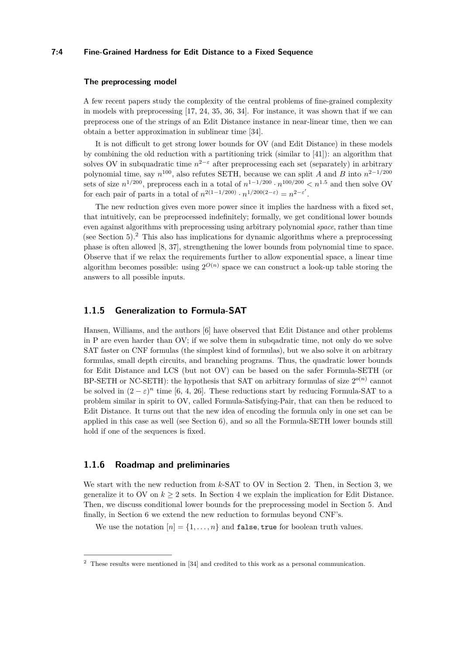# **7:4 Fine-Grained Hardness for Edit Distance to a Fixed Sequence**

#### **The preprocessing model**

A few recent papers study the complexity of the central problems of fine-grained complexity in models with preprocessing [\[17,](#page-11-13) [24,](#page-12-11) [35,](#page-12-12) [36,](#page-12-13) [34\]](#page-12-14). For instance, it was shown that if we can preprocess one of the strings of an Edit Distance instance in near-linear time, then we can obtain a better approximation in sublinear time [\[34\]](#page-12-14).

It is not difficult to get strong lower bounds for OV (and Edit Distance) in these models by combining the old reduction with a partitioning trick (similar to [\[41\]](#page-13-2)): an algorithm that solves OV in subquadratic time  $n^{2-\epsilon}$  after preprocessing each set (separately) in arbitrary polynomial time, say *n* <sup>100</sup>, also refutes SETH, because we can split *A* and *B* into *n* 2−1*/*200 sets of size  $n^{1/200}$ , preprocess each in a total of  $n^{1-1/200} \cdot n^{100/200} < n^{1.5}$  and then solve OV for each pair of parts in a total of  $n^{2(1-1/200)} \cdot n^{1/200(2-\epsilon)} = n^{2-\epsilon'}$ .

The new reduction gives even more power since it implies the hardness with a fixed set, that intuitively, can be preprocessed indefinitely; formally, we get conditional lower bounds even against algorithms with preprocessing using arbitrary polynomial *space*, rather than time (see Section [5\)](#page-7-0).<sup>[2](#page-3-0)</sup> This also has implications for dynamic algorithms where a preprocessing phase is often allowed [\[8,](#page-11-10) [37\]](#page-12-15), strengthening the lower bounds from polynomial time to space. Observe that if we relax the requirements further to allow exponential space, a linear time algorithm becomes possible: using  $2^{O(n)}$  space we can construct a look-up table storing the answers to all possible inputs.

# **1.1.5 Generalization to Formula-SAT**

Hansen, Williams, and the authors [\[6\]](#page-11-14) have observed that Edit Distance and other problems in P are even harder than OV; if we solve them in subqadratic time, not only do we solve SAT faster on CNF formulas (the simplest kind of formulas), but we also solve it on arbitrary formulas, small depth circuits, and branching programs. Thus, the quadratic lower bounds for Edit Distance and LCS (but not OV) can be based on the safer Formula-SETH (or BP-SETH or NC-SETH): the hypothesis that SAT on arbitrary formulas of size  $2^{o(n)}$  cannot be solved in  $(2 - \varepsilon)^n$  time [\[6,](#page-11-14) [4,](#page-10-4) [26\]](#page-12-16). These reductions start by reducing Formula-SAT to a problem similar in spirit to OV, called Formula-Satisfying-Pair, that can then be reduced to Edit Distance. It turns out that the new idea of encoding the formula only in one set can be applied in this case as well (see Section [6\)](#page-8-0), and so all the Formula-SETH lower bounds still hold if one of the sequences is fixed.

# **1.1.6 Roadmap and preliminaries**

We start with the new reduction from *k*-SAT to OV in Section [2.](#page-4-0) Then, in Section [3,](#page-5-0) we generalize it to OV on  $k \geq 2$  sets. In Section [4](#page-6-0) we explain the implication for Edit Distance. Then, we discuss conditional lower bounds for the preprocessing model in Section [5.](#page-7-0) And finally, in Section [6](#page-8-0) we extend the new reduction to formulas beyond CNF's.

We use the notation  $[n] = \{1, \ldots, n\}$  and **false**, true for boolean truth values.

<span id="page-3-0"></span><sup>2</sup> These results were mentioned in [\[34\]](#page-12-14) and credited to this work as a personal communication.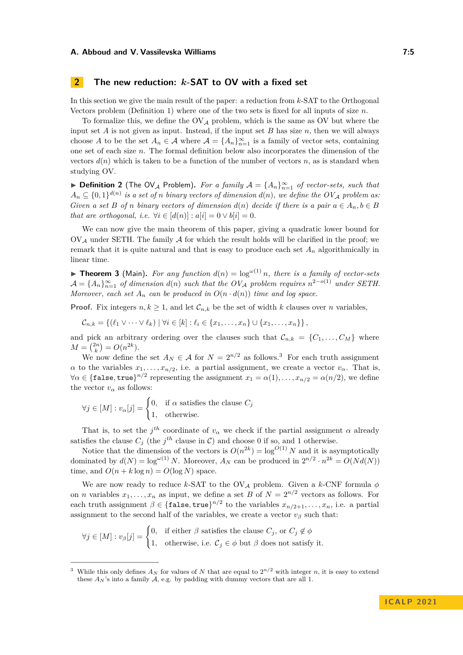# <span id="page-4-0"></span>**2 The new reduction:** *k***-SAT to OV with a fixed set**

In this section we give the main result of the paper: a reduction from *k*-SAT to the Orthogonal Vectors problem (Definition [1\)](#page-0-0) where one of the two sets is fixed for all inputs of size *n*.

To formalize this, we define the  $\mathrm{OV}_\mathcal{A}$  problem, which is the same as OV but where the input set  $A$  is not given as input. Instead, if the input set  $B$  has size  $n$ , then we will always choose *A* to be the set  $A_n \in \mathcal{A}$  where  $\mathcal{A} = \{A_n\}_{n=1}^{\infty}$  is a family of vector sets, containing one set of each size *n*. The formal definition below also incorporates the dimension of the vectors  $d(n)$  which is taken to be a function of the number of vectors  $n$ , as is standard when studying OV.

▶ **Definition 2** (The OV<sub>A</sub> Problem). For a family  $A = \{A_n\}_{n=1}^{\infty}$  of vector-sets, such that  $A_n \subseteq \{0,1\}^{d(n)}$  is a set of *n* binary vectors of dimension  $d(n)$ , we define the  $OV_A$  problem as: *Given a set B of n binary vectors of dimension*  $d(n)$  *decide if there is a pair*  $a \in A_n, b \in B$ *that are orthogonal, i.e.*  $\forall i \in [d(n)] : a[i] = 0 \vee b[i] = 0$ .

We can now give the main theorem of this paper, giving a quadratic lower bound for  $\text{OV}_\mathcal{A}$  under SETH. The family  $\mathcal A$  for which the result holds will be clarified in the proof; we remark that it is quite natural and that is easy to produce each set *A<sup>n</sup>* algorithmically in linear time.

<span id="page-4-2"></span> $\blacktriangleright$  **Theorem 3** (Main). For any function  $d(n) = \log^{\omega(1)} n$ , there is a family of vector-sets  $\mathcal{A} = \{A_n\}_{n=1}^{\infty}$  *of dimension*  $d(n)$  *such that the*  $OV_{\mathcal{A}}$  *problem requires*  $n^{2-o(1)}$  *under SETH. Moreover, each set*  $A_n$  *can be produced in*  $O(n \cdot d(n))$  *time and log space.* 

**Proof.** Fix integers  $n, k \geq 1$ , and let  $\mathcal{C}_{n,k}$  be the set of width k clauses over n variables,

 $\mathcal{C}_{n,k} = \{(\ell_1 \vee \cdots \vee \ell_k) \mid \forall i \in [k]: \ell_i \in \{x_1, \ldots, x_n\} \cup \{x_1, \ldots, x_n\}\},$ 

and pick an arbitrary ordering over the clauses such that  $\mathcal{C}_{n,k} = \{C_1, \ldots, C_M\}$  where  $M = \binom{2n}{k} = O(n^{2k}).$ 

We now define the set  $A_N \in \mathcal{A}$  for  $N = 2^{n/2}$  as follows.<sup>[3](#page-4-1)</sup> For each truth assignment *α* to the variables  $x_1, \ldots, x_{n/2}$ , i.e. a partial assignment, we create a vector  $v_\alpha$ . That is,  $\forall \alpha \in {\mathsf{false, true}}\}^{n/2}$  representing the assignment  $x_1 = \alpha(1), \ldots, x_{n/2} = \alpha(n/2)$ , we define the vector  $v_{\alpha}$  as follows:

$$
\forall j \in [M] : v_{\alpha}[j] = \begin{cases} 0, & \text{if } \alpha \text{ satisfies the clause } C_j \\ 1, & \text{otherwise.} \end{cases}
$$

That is, to set the  $j^{th}$  coordinate of  $v_{\alpha}$  we check if the partial assignment  $\alpha$  already satisfies the clause  $C_j$  (the  $j^{th}$  clause in C) and choose 0 if so, and 1 otherwise.

Notice that the dimension of the vectors is  $O(n^{2k}) = \log^{O(1)} N$  and it is asymptotically dominated by  $d(N) = \log^{\omega(1)} N$ . Moreover,  $A_N$  can be produced in  $2^{n/2} \cdot n^{2k} = O(Nd(N))$ time, and  $O(n + k \log n) = O(\log N)$  space.

We are now ready to reduce *k*-SAT to the  $\overline{OV_A}$  problem. Given a *k*-CNF formula  $\phi$ on *n* variables  $x_1, \ldots, x_n$  as input, we define a set *B* of  $N = 2^{n/2}$  vectors as follows. For each truth assignment  $\beta \in {\{\text{false}, \text{true}\}}^{n/2}$  to the variables  $x_{n/2+1}, \ldots, x_n$ , i.e. a partial assignment to the second half of the variables, we create a vector  $v_\beta$  such that:

$$
\forall j \in [M] : v_{\beta}[j] = \begin{cases} 0, & \text{if either } \beta \text{ satisfies the clause } C_j \text{, or } C_j \notin \phi \\ 1, & \text{otherwise, i.e. } C_j \in \phi \text{ but } \beta \text{ does not satisfy it.} \end{cases}
$$

<span id="page-4-1"></span><sup>&</sup>lt;sup>3</sup> While this only defines  $A_N$  for values of *N* that are equal to  $2^{n/2}$  with integer *n*, it is easy to extend these  $A_N$ 's into a family  $A$ , e.g. by padding with dummy vectors that are all 1.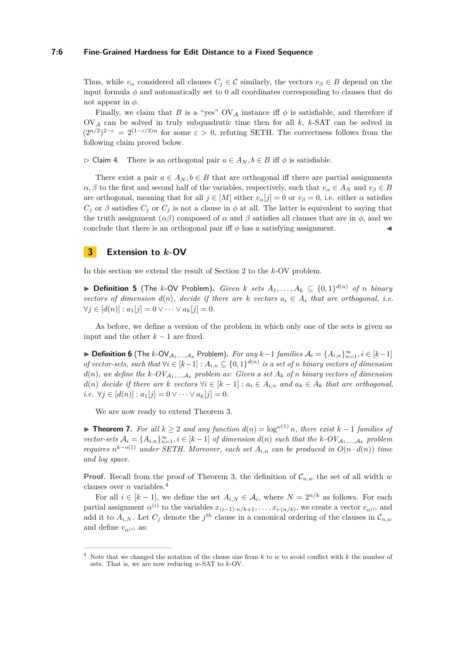## **7:6 Fine-Grained Hardness for Edit Distance to a Fixed Sequence**

Thus, while  $v_\alpha$  considered all clauses  $C_i \in \mathcal{C}$  similarly, the vectors  $v_\beta \in B$  depend on the input formula  $\phi$  and automatically set to 0 all coordinates corresponding to clauses that do not appear in *ϕ*.

Finally, we claim that *B* is a "yes"  $\overline{OV_A}$  instance iff  $\phi$  is satisfiable, and therefore if  $\mathrm{OV}_{\mathcal{A}}$  can be solved in truly subquadratic time then for all  $k$ ,  $k$ -SAT can be solved in  $(2^{n/2})^{2-\epsilon} = 2^{(1-\epsilon/2)n}$  for some  $\epsilon > 0$ , refuting SETH. The correctness follows from the following claim proved below.

<span id="page-5-2"></span> $\triangleright$  Claim 4. There is an orthogonal pair  $a \in A_N, b \in B$  iff  $\phi$  is satisfiable.

There exist a pair  $a \in A_N$ ,  $b \in B$  that are orthogonal iff there are partial assignments  $\alpha, \beta$  to the first and second half of the variables, respectively, such that  $v_{\alpha} \in A_N$  and  $v_{\beta} \in B$ are orthogonal, meaning that for all  $j \in [M]$  either  $v_{\alpha}[j] = 0$  or  $v_{\beta} = 0$ , i.e. either  $\alpha$  satisfies  $C_i$  or  $\beta$  satisfies  $C_j$  or  $C_j$  is not a clause in  $\phi$  at all. The latter is equivalent to saying that the truth assignment  $(\alpha\beta)$  composed of  $\alpha$  and  $\beta$  satisfies all clauses that are in  $\phi$ , and we conclude that there is an orthogonal pair iff  $\phi$  has a satisfying assignment.

# <span id="page-5-0"></span>**3 Extension to** *k***-OV**

In this section we extend the result of Section [2](#page-4-0) to the *k*-OV problem.

▶ **Definition 5** (The *k*-OV Problem). *Given k sets*  $A_1, \ldots, A_k$  ⊆  $\{0, 1\}^{d(n)}$  *of n binary vectors of dimension*  $d(n)$ *, decide if there are k vectors*  $a_i \in A_i$  *that are orthogonal, i.e.*  $∀j ∈ [d(n)] : a_1[j] = 0 ∨ ⋯ ∨ a_k[j] = 0.$ 

As before, we define a version of the problem in which only one of the sets is given as input and the other  $k-1$  are fixed.

▶ **Definition 6** (The *k*-OV<sub>A<sub>1</sub>,...,A<sub>*k*</sub></sub> Problem). *For any*  $k-1$  *families*  $A_i = \{A_{i,n}\}_{n=1}^{\infty}, i \in [k-1]$ *of vector-sets, such that*  $\forall i \in [k-1]: A_{i,n} \subseteq \{0,1\}^{d(n)}$  *is a set of n binary vectors of dimension*  $d(n)$ , we define the  $k$ *-OV*<sub>A1</sub>,..., $A_k$  problem as: Given a set  $A_k$  of  $n$  binary vectors of dimension *d*(*n*) *decide if there are k vectors*  $∀i ∈ [k − 1] : a_i ∈ A_{i,n}$  *and*  $a_k ∈ A_k$  *that are orthogonal,*  $i.e. \ \forall j \in [d(n)] : a_1[j] = 0 \lor \cdots \lor a_k[j] = 0.$ 

We are now ready to extend Theorem [3.](#page-4-2)

▶ **Theorem 7.** *For all*  $k \geq 2$  *and any function*  $d(n) = \log^{ω(1)} n$ *, there exist*  $k - 1$  *families of vector-sets*  $\mathcal{A}_i = \{A_{i,n}\}_{n=1}^{\infty}, i \in [k-1]$  *of dimension*  $d(n)$  *such that the*  $k$ *-OV*<sub> $\mathcal{A}_1$ ,..., $\mathcal{A}_k$  *problem*</sub> *requires*  $n^{k-o(1)}$  *under SETH. Moreover, each set*  $A_{i,n}$  *can be produced in*  $O(n \cdot d(n))$  *time and log space.*

**Proof.** Recall from the proof of Theorem [3,](#page-4-2) the definition of  $\mathcal{C}_{n,w}$  the set of all width *w* clauses over *n* variables.[4](#page-5-1)

For all  $i \in [k-1]$ , we define the set  $A_{i,N} \in \mathcal{A}_i$ , where  $N = 2^{n/k}$  as follows. For each partial assignment  $\alpha^{(i)}$  to the variables  $x_{(i-1)\cdot n/k+1}, \ldots, x_{i\cdot(n/k)}$ , we create a vector  $v_{\alpha^{(i)}}$  and add it to  $A_{i,N}$ . Let  $C_j$  denote the  $j^{th}$  clause in a canonical ordering of the clauses in  $\mathcal{C}_{n,w}$ and define  $v_{\alpha^{(i)}}$  as:

<span id="page-5-1"></span><sup>4</sup> Note that we changed the notation of the clause size from *k* to *w* to avoid conflict with *k* the number of sets. That is, we are now reducing *w*-SAT to *k*-OV.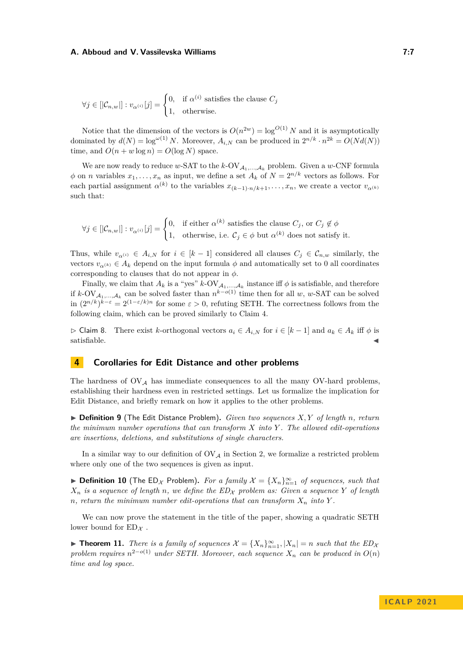$$
\forall j \in [|\mathcal{C}_{n,w}|] : v_{\alpha^{(i)}}[j] = \begin{cases} 0, & \text{if } \alpha^{(i)} \text{ satisfies the clause } C_j \\ 1, & \text{otherwise.} \end{cases}
$$

Notice that the dimension of the vectors is  $O(n^{2w}) = \log^{O(1)} N$  and it is asymptotically dominated by  $d(N) = \log^{\omega(1)} N$ . Moreover,  $A_{i,N}$  can be produced in  $2^{n/k} \cdot n^{2k} = O(Nd(N))$ time, and  $O(n + w \log n) = O(\log N)$  space.

We are now ready to reduce w-SAT to the  $k$ -OV $_{A_1,...,A_k}$  problem. Given a w-CNF formula  $\phi$  on *n* variables  $x_1, \ldots, x_n$  as input, we define a set  $A_k$  of  $N = 2^{n/k}$  vectors as follows. For each partial assignment  $\alpha^{(k)}$  to the variables  $x_{(k-1)\cdot n/k+1}, \ldots, x_n$ , we create a vector  $v_{\alpha^{(k)}}$ such that:

$$
\forall j \in [|\mathcal{C}_{n,w}|] : v_{\alpha^{(i)}}[j] = \begin{cases} 0, & \text{if either } \alpha^{(k)} \text{ satisfies the clause } C_j \text{, or } C_j \notin \phi \\ 1, & \text{otherwise, i.e. } C_j \in \phi \text{ but } \alpha^{(k)} \text{ does not satisfy it.} \end{cases}
$$

Thus, while  $v_{\alpha^{(i)}} \in A_{i,N}$  for  $i \in [k-1]$  considered all clauses  $C_j \in C_{n,w}$  similarly, the vectors  $v_{\alpha^{(k)}} \in A_k$  depend on the input formula  $\phi$  and automatically set to 0 all coordinates corresponding to clauses that do not appear in  $\phi$ .

Finally, we claim that  $A_k$  is a "yes"  $k$ -OV $A_{1},...,A_k$  instance iff  $\phi$  is satisfiable, and therefore if  $k$ -OV<sub>A<sub>1</sub>,...,A<sub>k</sub></sub> can be solved faster than  $n^{k-o(1)}$  time then for all *w*, *w*-SAT can be solved in  $(2^{n/k})^{k-\varepsilon} = 2^{(1-\varepsilon/k)n}$  for some  $\varepsilon > 0$ , refuting SETH. The correctness follows from the following claim, which can be proved similarly to Claim [4.](#page-5-2)

▷ Claim 8. There exist *k*-orthogonal vectors *a<sup>i</sup>* ∈ *Ai,N* for *i* ∈ [*k* − 1] and *a<sup>k</sup>* ∈ *A<sup>k</sup>* iff *ϕ* is  $s$ satisfiable.  $\blacktriangleleft$ 

# <span id="page-6-0"></span>**4 Corollaries for Edit Distance and other problems**

The hardness of  $\mathcal{O}V_A$  has immediate consequences to all the many  $\mathcal{O}V$ -hard problems, establishing their hardness even in restricted settings. Let us formalize the implication for Edit Distance, and briefly remark on how it applies to the other problems.

▶ **Definition 9** (The Edit Distance Problem)**.** *Given two sequences X, Y of length n, return the minimum number operations that can transform X into Y . The allowed edit-operations are insertions, deletions, and substitutions of single characters.*

In a similar way to our definition of  $\text{OV}_{\mathcal{A}}$  in Section [2,](#page-4-0) we formalize a restricted problem where only one of the two sequences is given as input.

▶ **Definition 10** (The ED<sub>X</sub> Problem). For a family  $\mathcal{X} = \{X_n\}_{n=1}^{\infty}$  of sequences, such that  $X_n$  *is a sequence of length n, we define the*  $ED_X$  *problem as: Given a sequence Y of length n*, return the minimum number edit-operations that can transform  $X_n$  into  $Y$ .

We can now prove the statement in the title of the paper, showing a quadratic SETH lower bound for  $ED_{\mathcal{X}}$ .

▶ **Theorem 11.** *There is a family of sequences*  $\mathcal{X} = \{X_n\}_{n=1}^{\infty}, |X_n| = n$  *such that the*  $ED_{\mathcal{X}}$ *problem requires n* <sup>2</sup>−*o*(1) *under SETH. Moreover, each sequence X<sup>n</sup> can be produced in O*(*n*) *time and log space.*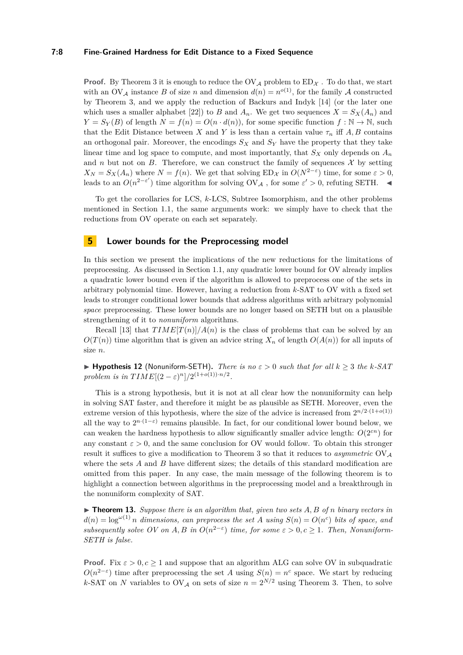## **7:8 Fine-Grained Hardness for Edit Distance to a Fixed Sequence**

**Proof.** By Theorem [3](#page-4-2) it is enough to reduce the  $\overline{O}V_A$  problem to  $ED_{\mathcal{X}}$ . To do that, we start with an  $\overline{O}V_{\mathcal{A}}$  instance *B* of size *n* and dimension  $d(n) = n^{o(1)}$ , for the family  $\mathcal A$  constructed by Theorem [3,](#page-4-2) and we apply the reduction of Backurs and Indyk [\[14\]](#page-11-1) (or the later one which uses a smaller alphabet [\[22\]](#page-11-3)) to *B* and  $A_n$ . We get two sequences  $X = S_X(A_n)$  and  $Y = S_Y(B)$  of length  $N = f(n) = O(n \cdot d(n))$ , for some specific function  $f : \mathbb{N} \to \mathbb{N}$ , such that the Edit Distance between *X* and *Y* is less than a certain value  $\tau_n$  iff *A, B* contains an orthogonal pair. Moreover, the encodings  $S_X$  and  $S_Y$  have the property that they take linear time and log space to compute, and most importantly, that  $S_X$  only depends on  $A_n$ and *n* but not on *B*. Therefore, we can construct the family of sequences  $\mathcal{X}$  by setting  $X_N = S_X(A_n)$  where  $N = f(n)$ . We get that solving ED<sub>X</sub> in  $O(N^{2-\epsilon})$  time, for some  $\epsilon > 0$ , leads to an  $O(n^{2-\epsilon'})$  time algorithm for solving  $\text{OV}_{\mathcal{A}}$ , for some  $\varepsilon' > 0$ , refuting SETH.  $\blacktriangleleft$ 

To get the corollaries for LCS, *k*-LCS, Subtree Isomorphism, and the other problems mentioned in Section [1.1,](#page-1-1) the same arguments work: we simply have to check that the reductions from OV operate on each set separately.

# <span id="page-7-0"></span>**5 Lower bounds for the Preprocessing model**

In this section we present the implications of the new reductions for the limitations of preprocessing. As discussed in Section [1.1,](#page-1-1) any quadratic lower bound for OV already implies a quadratic lower bound even if the algorithm is allowed to preprocess one of the sets in arbitrary polynomial time. However, having a reduction from *k*-SAT to OV with a fixed set leads to stronger conditional lower bounds that address algorithms with arbitrary polynomial *space* preprocessing. These lower bounds are no longer based on SETH but on a plausible strengthening of it to *nonuniform* algorithms.

Recall [\[13\]](#page-11-15) that  $TIME[T(n)]/A(n)$  is the class of problems that can be solved by an  $O(T(n))$  time algorithm that is given an advice string  $X_n$  of length  $O(A(n))$  for all inputs of size *n*.

 $\blacktriangleright$  **Hypothesis 12** (Nonuniform-SETH). *There is no*  $\varepsilon > 0$  *such that for all*  $k \geq 3$  *the k-SAT problem is in*  $TIME[(2 - \varepsilon)^n]/2^{(1+o(1)) \cdot n/2}$ .

This is a strong hypothesis, but it is not at all clear how the nonuniformity can help in solving SAT faster, and therefore it might be as plausible as SETH. Moreover, even the extreme version of this hypothesis, where the size of the advice is increased from  $2^{n/2 \cdot (1+o(1))}$ all the way to  $2^{n \cdot (1-\varepsilon)}$  remains plausible. In fact, for our conditional lower bound below, we can weaken the hardness hypothesis to allow significantly smaller advice length:  $O(2^{2n})$  for any constant  $\varepsilon > 0$ , and the same conclusion for OV would follow. To obtain this stronger result it suffices to give a modification to Theorem [3](#page-4-2) so that it reduces to *asymmetric*  $\text{OV}_{\mathcal{A}}$ where the sets *A* and *B* have different sizes; the details of this standard modification are omitted from this paper. In any case, the main message of the following theorem is to highlight a connection between algorithms in the preprocessing model and a breakthrough in the nonuniform complexity of SAT.

 $\triangleright$  **Theorem 13.** *Suppose there is an algorithm that, given two sets*  $A, B$  *of*  $n$  *binary vectors in*  $d(n) = \log^{\omega(1)} n$  *dimensions, can preprocess the set A using*  $S(n) = O(n^c)$  *bits of space, and subsequently solve OV on*  $A, B$  *in*  $O(n^{2-\epsilon})$  *time, for some*  $\epsilon > 0, c \ge 1$ *. Then, Nonuniform-SETH is false.*

**Proof.** Fix  $\varepsilon > 0, c > 1$  and suppose that an algorithm ALG can solve OV in subquadratic  $O(n^{2-\epsilon})$  time after preprocessing the set *A* using  $S(n) = n^c$  space. We start by reducing *k*-SAT on *N* variables to  $\overline{O}V_A$  on sets of size  $n = 2^{N/2}$  using Theorem [3.](#page-4-2) Then, to solve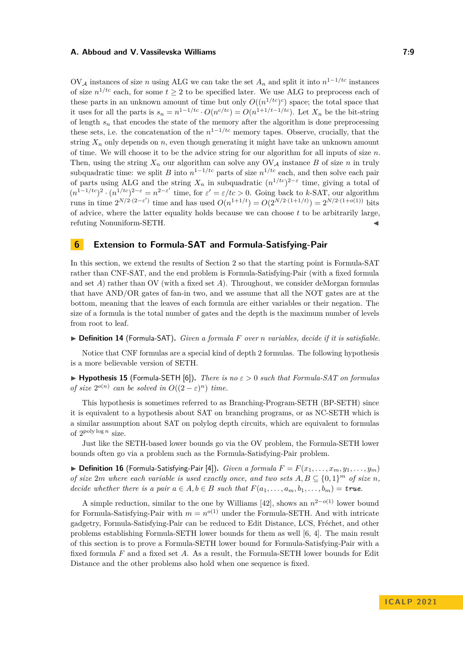$\mathcal{O}V_{\mathcal{A}}$  instances of size *n* using ALG we can take the set  $A_n$  and split it into  $n^{1-1/tc}$  instances of size  $n^{1/tc}$  each, for some  $t \geq 2$  to be specified later. We use ALG to preprocess each of these parts in an unknown amount of time but only  $O((n^{1/tc})^c)$  space; the total space that it uses for all the parts is  $s_n = n^{1-1/tc} \cdot O(n^{c/tc}) = O(n^{1+1/t-1/tc})$ . Let  $X_n$  be the bit-string of length *s<sup>n</sup>* that encodes the state of the memory after the algorithm is done preprocessing these sets, i.e. the concatenation of the  $n^{1-1/tc}$  memory tapes. Observe, crucially, that the string  $X_n$  only depends on  $n$ , even though generating it might have take an unknown amount of time. We will choose it to be the advice string for our algorithm for all inputs of size *n*. Then, using the string  $X_n$  our algorithm can solve any  $\mathrm{OV}_{\mathcal{A}}$  instance *B* of size *n* in truly subquadratic time: we split *B* into  $n^{1-1/tc}$  parts of size  $n^{1/tc}$  each, and then solve each pair of parts using ALG and the string  $X_n$  in subquadratic  $(n^{1/tc})^{2-\epsilon}$  time, giving a total of  $(n^{1-1/te})^2 \cdot (n^{1/te})^{2-\epsilon} = n^{2-\epsilon'}$  time, for  $\varepsilon' = \varepsilon/tc > 0$ . Going back to *k*-SAT, our algorithm runs in time  $2^{N/2 \cdot (2 - \varepsilon')}$  time and has used  $O(n^{1+1/t}) = O(2^{N/2 \cdot (1+1/t)}) = 2^{N/2 \cdot (1+o(1))}$  bits of advice, where the latter equality holds because we can choose *t* to be arbitrarily large, refuting Nonuniform-SETH.

# <span id="page-8-0"></span>**6 Extension to Formula-SAT and Formula-Satisfying-Pair**

In this section, we extend the results of Section [2](#page-4-0) so that the starting point is Formula-SAT rather than CNF-SAT, and the end problem is Formula-Satisfying-Pair (with a fixed formula and set *A*) rather than OV (with a fixed set *A*). Throughout, we consider deMorgan formulas that have AND/OR gates of fan-in two, and we assume that all the NOT gates are at the bottom, meaning that the leaves of each formula are either variables or their negation. The size of a formula is the total number of gates and the depth is the maximum number of levels from root to leaf.

## ▶ **Definition 14** (Formula-SAT)**.** *Given a formula F over n variables, decide if it is satisfiable.*

Notice that CNF formulas are a special kind of depth 2 formulas. The following hypothesis is a more believable version of SETH.

▶ **Hypothesis 15** (Formula-SETH [\[6\]](#page-11-14))**.** *There is no ε >* 0 *such that Formula-SAT on formulas of size*  $2^{o(n)}$  *can be solved in*  $O((2 - \varepsilon)^n)$  *time.* 

This hypothesis is sometimes referred to as Branching-Program-SETH (BP-SETH) since it is equivalent to a hypothesis about SAT on branching programs, or as NC-SETH which is a similar assumption about SAT on polylog depth circuits, which are equivalent to formulas of 2 poly log *<sup>n</sup>* size.

Just like the SETH-based lower bounds go via the OV problem, the Formula-SETH lower bounds often go via a problem such as the Formula-Satisfying-Pair problem.

 $\triangleright$  **Definition 16** (Formula-Satisfying-Pair [\[4\]](#page-10-4)). *Given a formula*  $F = F(x_1, \ldots, x_m, y_1, \ldots, y_m)$ *of size* 2*m* where each variable is used exactly once, and two sets  $A, B \subseteq \{0,1\}^m$  of size *n*, *decide whether there is a pair*  $a \in A, b \in B$  *such that*  $F(a_1, \ldots, a_m, b_1, \ldots, b_m) = \text{true}.$ 

A simple reduction, similar to the one by Williams [\[42\]](#page-13-0), shows an *n* <sup>2</sup>−*o*(1) lower bound for Formula-Satisfying-Pair with  $m = n^{o(1)}$  under the Formula-SETH. And with intricate gadgetry, Formula-Satisfying-Pair can be reduced to Edit Distance, LCS, Fréchet, and other problems establishing Formula-SETH lower bounds for them as well [\[6,](#page-11-14) [4\]](#page-10-4). The main result of this section is to prove a Formula-SETH lower bound for Formula-Satisfying-Pair with a fixed formula *F* and a fixed set *A*. As a result, the Formula-SETH lower bounds for Edit Distance and the other problems also hold when one sequence is fixed.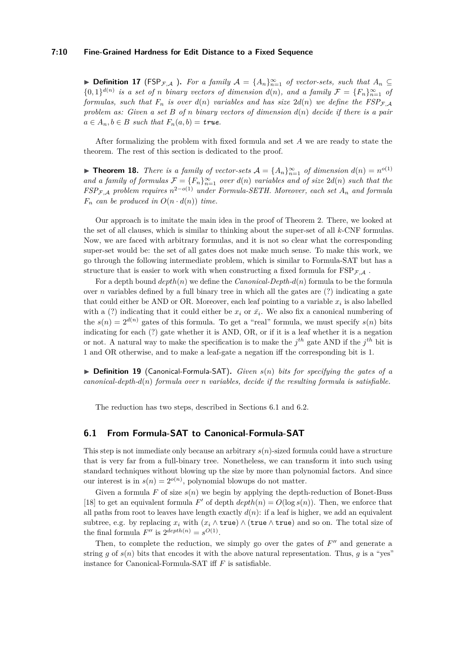## **7:10 Fine-Grained Hardness for Edit Distance to a Fixed Sequence**

▶ **Definition 17** (FSP<sub>*F*,*A*</sub>). *For a family*  $A = \{A_n\}_{n=1}^{\infty}$  *of vector-sets, such that*  $A_n$  ⊆  $\{0,1\}^{d(n)}$  is a set of *n* binary vectors of dimension  $d(n)$ , and a family  $\mathcal{F} = \{F_n\}_{n=1}^{\infty}$  of *formulas, such that*  $F_n$  *is over*  $d(n)$  *variables and has size*  $2d(n)$  *we define the*  $FSP_{\mathcal{F},\mathcal{A}}$ *problem as: Given a set B of n binary vectors of dimension d*(*n*) *decide if there is a pair*  $a \in A_n, b \in B$  *such that*  $F_n(a, b) =$  *true.* 

After formalizing the problem with fixed formula and set *A* we are ready to state the theorem. The rest of this section is dedicated to the proof.

▶ **Theorem 18.** *There is a family of vector-sets*  $A = \{A_n\}_{n=1}^{\infty}$  *of dimension*  $d(n) = n^{o(1)}$ *and a family of formulas*  $\mathcal{F} = \{F_n\}_{n=1}^{\infty}$  *over*  $d(n)$  *variables and of size*  $2d(n)$  *such that the FSP*F*,*<sup>A</sup> *problem requires n* <sup>2</sup>−*o*(1) *under Formula-SETH. Moreover, each set A<sup>n</sup> and formula*  $F_n$  *can be produced in*  $O(n \cdot d(n))$  *time.* 

Our approach is to imitate the main idea in the proof of Theorem [2.](#page-4-0) There, we looked at the set of all clauses, which is similar to thinking about the super-set of all *k*-CNF formulas. Now, we are faced with arbitrary formulas, and it is not so clear what the corresponding super-set would be: the set of all gates does not make much sense. To make this work, we go through the following intermediate problem, which is similar to Formula-SAT but has a structure that is easier to work with when constructing a fixed formula for  $\text{FSP}_{\mathcal{F},\mathcal{A}}$ .

For a depth bound *depth*(*n*) we define the *Canonical-Depth-d*(*n*) formula to be the formula over *n* variables defined by a full binary tree in which all the gates are  $(?)$  indicating a gate that could either be AND or OR. Moreover, each leaf pointing to a variable  $x_i$  is also labelled with a  $(?)$  indicating that it could either be  $x_i$  or  $\bar{x_i}$ . We also fix a canonical numbering of the  $s(n) = 2^{d(n)}$  gates of this formula. To get a "real" formula, we must specify  $s(n)$  bits indicating for each (?) gate whether it is AND, OR, or if it is a leaf whether it is a negation or not. A natural way to make the specification is to make the  $j^{th}$  gate AND if the  $j^{th}$  bit is 1 and OR otherwise, and to make a leaf-gate a negation iff the corresponding bit is 1.

▶ **Definition 19** (Canonical-Formula-SAT)**.** *Given s*(*n*) *bits for specifying the gates of a canonical-depth-d*(*n*) *formula over n variables, decide if the resulting formula is satisfiable.*

The reduction has two steps, described in Sections [6.1](#page-9-0) and [6.2.](#page-10-5)

## <span id="page-9-0"></span>**6.1 From Formula-SAT to Canonical-Formula-SAT**

This step is not immediate only because an arbitrary *s*(*n*)-sized formula could have a structure that is very far from a full-binary tree. Nonetheless, we can transform it into such using standard techniques without blowing up the size by more than polynomial factors. And since our interest is in  $s(n) = 2^{o(n)}$ , polynomial blowups do not matter.

Given a formula  $F$  of size  $s(n)$  we begin by applying the depth-reduction of Bonet-Buss [\[18\]](#page-11-16) to get an equivalent formula *F'* of depth  $depth(n) = O(\log s(n))$ . Then, we enforce that all paths from root to leaves have length exactly  $d(n)$ : if a leaf is higher, we add an equivalent subtree, e.g. by replacing  $x_i$  with  $(x_i \wedge \text{true}) \wedge (\text{true} \wedge \text{true})$  and so on. The total size of the final formula  $F''$  is  $2^{depth(n)} = s^{O(1)}$ .

Then, to complete the reduction, we simply go over the gates of  $F''$  and generate a string *g* of  $s(n)$  bits that encodes it with the above natural representation. Thus, *g* is a "yes" instance for Canonical-Formula-SAT iff *F* is satisfiable.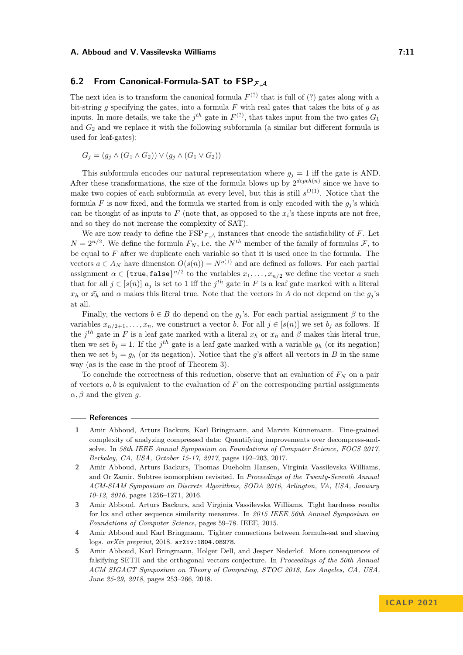# <span id="page-10-5"></span>**6.2 From Canonical-Formula-SAT to FSP<sup>F</sup>***,***<sup>A</sup>**

The next idea is to transform the canonical formula  $F^{(?)}$  that is full of (?) gates along with a bit-string *g* specifying the gates, into a formula *F* with real gates that takes the bits of *g* as inputs. In more details, we take the  $j^{th}$  gate in  $F^{(?)}$ , that takes input from the two gates  $G_1$ and *G*<sup>2</sup> and we replace it with the following subformula (a similar but different formula is used for leaf-gates):

$$
G_j = (g_j \wedge (G_1 \wedge G_2)) \vee (\bar{g_j} \wedge (G_1 \vee G_2))
$$

This subformula encodes our natural representation where  $g_i = 1$  iff the gate is AND. After these transformations, the size of the formula blows up by  $2^{depth(n)}$  since we have to make two copies of each subformula at every level, but this is still  $s^{O(1)}$ . Notice that the formula F is now fixed, and the formula we started from is only encoded with the  $g_i$ 's which can be thought of as inputs to  $F$  (note that, as opposed to the  $x_i$ 's these inputs are not free, and so they do not increase the complexity of SAT).

We are now ready to define the  $\text{FSP}_{\mathcal{F},\mathcal{A}}$  instances that encode the satisfiability of *F*. Let  $N = 2^{n/2}$ . We define the formula  $F_N$ , i.e. the  $N^{th}$  member of the family of formulas  $\mathcal{F}$ , to be equal to *F* after we duplicate each variable so that it is used once in the formula. The vectors  $a \in A_N$  have dimension  $O(s(n)) = N^{o(1)}$  and are defined as follows. For each partial assignment  $\alpha \in {\{\text{true}, \text{false}\}}^{n/2}$  to the variables  $x_1, \ldots, x_{n/2}$  we define the vector *a* such that for all  $j \in [s(n)]$   $a_j$  is set to 1 iff the  $j<sup>th</sup>$  gate in *F* is a leaf gate marked with a literal  $x_h$  or  $\bar{x}_h$  and  $\alpha$  makes this literal true. Note that the vectors in *A* do not depend on the  $g_j$ 's at all.

Finally, the vectors  $b \in B$  do depend on the  $g_j$ 's. For each partial assignment  $\beta$  to the variables  $x_{n/2+1}, \ldots, x_n$ , we construct a vector *b*. For all  $j \in [s(n)]$  we set  $b_j$  as follows. If the  $j^{th}$  gate in *F* is a leaf gate marked with a literal  $x_h$  or  $\bar{x_h}$  and  $\beta$  makes this literal true, then we set  $b_j = 1$ . If the  $j^{th}$  gate is a leaf gate marked with a variable  $g_h$  (or its negation) then we set  $b_j = g_h$  (or its negation). Notice that the *g*'s affect all vectors in *B* in the same way (as is the case in the proof of Theorem [3\)](#page-4-2).

To conclude the correctness of this reduction, observe that an evaluation of *F<sup>N</sup>* on a pair of vectors  $a, b$  is equivalent to the evaluation of  $F$  on the corresponding partial assignments  $\alpha$ ,  $\beta$  and the given *g*.

#### **References**

- <span id="page-10-3"></span>**1** Amir Abboud, Arturs Backurs, Karl Bringmann, and Marvin Künnemann. Fine-grained complexity of analyzing compressed data: Quantifying improvements over decompress-andsolve. In *58th IEEE Annual Symposium on Foundations of Computer Science, FOCS 2017, Berkeley, CA, USA, October 15-17, 2017*, pages 192–203, 2017.
- <span id="page-10-2"></span>**2** Amir Abboud, Arturs Backurs, Thomas Dueholm Hansen, Virginia Vassilevska Williams, and Or Zamir. Subtree isomorphism revisited. In *Proceedings of the Twenty-Seventh Annual ACM-SIAM Symposium on Discrete Algorithms, SODA 2016, Arlington, VA, USA, January 10-12, 2016*, pages 1256–1271, 2016.
- <span id="page-10-1"></span>**3** Amir Abboud, Arturs Backurs, and Virginia Vassilevska Williams. Tight hardness results for lcs and other sequence similarity measures. In *2015 IEEE 56th Annual Symposium on Foundations of Computer Science*, pages 59–78. IEEE, 2015.
- <span id="page-10-4"></span>**4** Amir Abboud and Karl Bringmann. Tighter connections between formula-sat and shaving logs. *arXiv preprint*, 2018. [arXiv:1804.08978](http://arxiv.org/abs/1804.08978).
- <span id="page-10-0"></span>**5** Amir Abboud, Karl Bringmann, Holger Dell, and Jesper Nederlof. More consequences of falsifying SETH and the orthogonal vectors conjecture. In *Proceedings of the 50th Annual ACM SIGACT Symposium on Theory of Computing, STOC 2018, Los Angeles, CA, USA, June 25-29, 2018*, pages 253–266, 2018.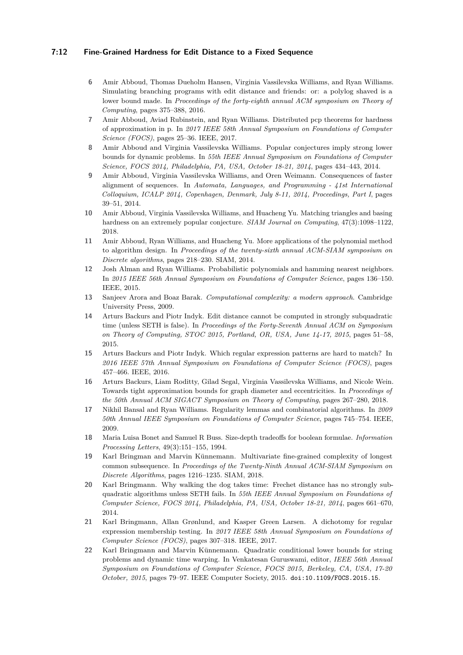# **7:12 Fine-Grained Hardness for Edit Distance to a Fixed Sequence**

- <span id="page-11-14"></span>**6** Amir Abboud, Thomas Dueholm Hansen, Virginia Vassilevska Williams, and Ryan Williams. Simulating branching programs with edit distance and friends: or: a polylog shaved is a lower bound made. In *Proceedings of the forty-eighth annual ACM symposium on Theory of Computing*, pages 375–388, 2016.
- <span id="page-11-2"></span>**7** Amir Abboud, Aviad Rubinstein, and Ryan Williams. Distributed pcp theorems for hardness of approximation in p. In *2017 IEEE 58th Annual Symposium on Foundations of Computer Science (FOCS)*, pages 25–36. IEEE, 2017.
- <span id="page-11-10"></span>**8** Amir Abboud and Virginia Vassilevska Williams. Popular conjectures imply strong lower bounds for dynamic problems. In *55th IEEE Annual Symposium on Foundations of Computer Science, FOCS 2014, Philadelphia, PA, USA, October 18-21, 2014*, pages 434–443, 2014.
- <span id="page-11-5"></span>**9** Amir Abboud, Virginia Vassilevska Williams, and Oren Weimann. Consequences of faster alignment of sequences. In *Automata, Languages, and Programming - 41st International Colloquium, ICALP 2014, Copenhagen, Denmark, July 8-11, 2014, Proceedings, Part I*, pages 39–51, 2014.
- <span id="page-11-11"></span>**10** Amir Abboud, Virginia Vassilevska Williams, and Huacheng Yu. Matching triangles and basing hardness on an extremely popular conjecture. *SIAM Journal on Computing*, 47(3):1098–1122, 2018.
- <span id="page-11-0"></span>**11** Amir Abboud, Ryan Williams, and Huacheng Yu. More applications of the polynomial method to algorithm design. In *Proceedings of the twenty-sixth annual ACM-SIAM symposium on Discrete algorithms*, pages 218–230. SIAM, 2014.
- <span id="page-11-9"></span>**12** Josh Alman and Ryan Williams. Probabilistic polynomials and hamming nearest neighbors. In *2015 IEEE 56th Annual Symposium on Foundations of Computer Science*, pages 136–150. IEEE, 2015.
- <span id="page-11-15"></span>**13** Sanjeev Arora and Boaz Barak. *Computational complexity: a modern approach*. Cambridge University Press, 2009.
- <span id="page-11-1"></span>**14** Arturs Backurs and Piotr Indyk. Edit distance cannot be computed in strongly subquadratic time (unless SETH is false). In *Proceedings of the Forty-Seventh Annual ACM on Symposium on Theory of Computing, STOC 2015, Portland, OR, USA, June 14-17, 2015*, pages 51–58, 2015.
- <span id="page-11-7"></span>**15** Arturs Backurs and Piotr Indyk. Which regular expression patterns are hard to match? In *2016 IEEE 57th Annual Symposium on Foundations of Computer Science (FOCS)*, pages 457–466. IEEE, 2016.
- <span id="page-11-12"></span>**16** Arturs Backurs, Liam Roditty, Gilad Segal, Virginia Vassilevska Williams, and Nicole Wein. Towards tight approximation bounds for graph diameter and eccentricities. In *Proceedings of the 50th Annual ACM SIGACT Symposium on Theory of Computing*, pages 267–280, 2018.
- <span id="page-11-13"></span>**17** Nikhil Bansal and Ryan Williams. Regularity lemmas and combinatorial algorithms. In *2009 50th Annual IEEE Symposium on Foundations of Computer Science*, pages 745–754. IEEE, 2009.
- <span id="page-11-16"></span>**18** Maria Luisa Bonet and Samuel R Buss. Size-depth tradeoffs for boolean formulae. *Information Processing Letters*, 49(3):151–155, 1994.
- <span id="page-11-4"></span>**19** Karl Bringman and Marvin Künnemann. Multivariate fine-grained complexity of longest common subsequence. In *Proceedings of the Twenty-Ninth Annual ACM-SIAM Symposium on Discrete Algorithms*, pages 1216–1235. SIAM, 2018.
- <span id="page-11-6"></span>**20** Karl Bringmann. Why walking the dog takes time: Frechet distance has no strongly subquadratic algorithms unless SETH fails. In *55th IEEE Annual Symposium on Foundations of Computer Science, FOCS 2014, Philadelphia, PA, USA, October 18-21, 2014*, pages 661–670, 2014.
- <span id="page-11-8"></span>**21** Karl Bringmann, Allan Grønlund, and Kasper Green Larsen. A dichotomy for regular expression membership testing. In *2017 IEEE 58th Annual Symposium on Foundations of Computer Science (FOCS)*, pages 307–318. IEEE, 2017.
- <span id="page-11-3"></span>**22** Karl Bringmann and Marvin Künnemann. Quadratic conditional lower bounds for string problems and dynamic time warping. In Venkatesan Guruswami, editor, *IEEE 56th Annual Symposium on Foundations of Computer Science, FOCS 2015, Berkeley, CA, USA, 17-20 October, 2015*, pages 79–97. IEEE Computer Society, 2015. [doi:10.1109/FOCS.2015.15](https://doi.org/10.1109/FOCS.2015.15).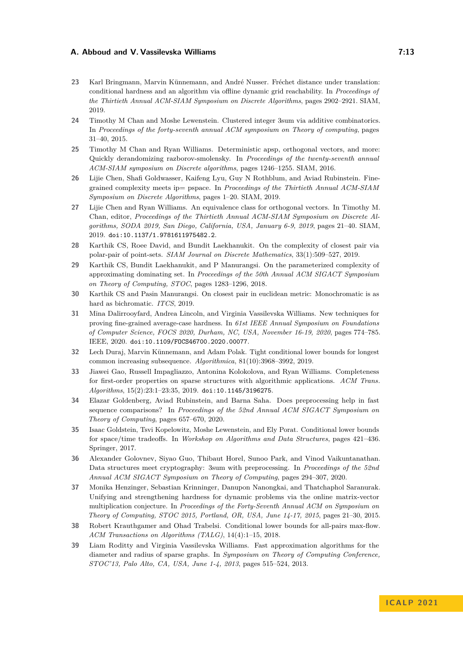- <span id="page-12-10"></span>**23** Karl Bringmann, Marvin Künnemann, and André Nusser. Fréchet distance under translation: conditional hardness and an algorithm via offline dynamic grid reachability. In *Proceedings of the Thirtieth Annual ACM-SIAM Symposium on Discrete Algorithms*, pages 2902–2921. SIAM, 2019.
- <span id="page-12-11"></span>**24** Timothy M Chan and Moshe Lewenstein. Clustered integer 3sum via additive combinatorics. In *Proceedings of the forty-seventh annual ACM symposium on Theory of computing*, pages 31–40, 2015.
- <span id="page-12-0"></span>**25** Timothy M Chan and Ryan Williams. Deterministic apsp, orthogonal vectors, and more: Quickly derandomizing razborov-smolensky. In *Proceedings of the twenty-seventh annual ACM-SIAM symposium on Discrete algorithms*, pages 1246–1255. SIAM, 2016.
- <span id="page-12-16"></span>**26** Lijie Chen, Shafi Goldwasser, Kaifeng Lyu, Guy N Rothblum, and Aviad Rubinstein. Finegrained complexity meets ip= pspace. In *Proceedings of the Thirtieth Annual ACM-SIAM Symposium on Discrete Algorithms*, pages 1–20. SIAM, 2019.
- <span id="page-12-1"></span>**27** Lijie Chen and Ryan Williams. An equivalence class for orthogonal vectors. In Timothy M. Chan, editor, *Proceedings of the Thirtieth Annual ACM-SIAM Symposium on Discrete Algorithms, SODA 2019, San Diego, California, USA, January 6-9, 2019*, pages 21–40. SIAM, 2019. [doi:10.1137/1.9781611975482.2](https://doi.org/10.1137/1.9781611975482.2).
- <span id="page-12-4"></span>**28** Karthik CS, Roee David, and Bundit Laekhanukit. On the complexity of closest pair via polar-pair of point-sets. *SIAM Journal on Discrete Mathematics*, 33(1):509–527, 2019.
- <span id="page-12-9"></span>**29** Karthik CS, Bundit Laekhanukit, and P Manurangsi. On the parameterized complexity of approximating dominating set. In *Proceedings of the 50th Annual ACM SIGACT Symposium on Theory of Computing, STOC*, pages 1283–1296, 2018.
- <span id="page-12-5"></span>**30** Karthik CS and Pasin Manurangsi. On closest pair in euclidean metric: Monochromatic is as hard as bichromatic. *ITCS*, 2019.
- <span id="page-12-2"></span>**31** Mina Dalirrooyfard, Andrea Lincoln, and Virginia Vassilevska Williams. New techniques for proving fine-grained average-case hardness. In *61st IEEE Annual Symposium on Foundations of Computer Science, FOCS 2020, Durham, NC, USA, November 16-19, 2020*, pages 774–785. IEEE, 2020. [doi:10.1109/FOCS46700.2020.00077](https://doi.org/10.1109/FOCS46700.2020.00077).
- <span id="page-12-8"></span>**32** Lech Duraj, Marvin Künnemann, and Adam Polak. Tight conditional lower bounds for longest common increasing subsequence. *Algorithmica*, 81(10):3968–3992, 2019.
- <span id="page-12-3"></span>**33** Jiawei Gao, Russell Impagliazzo, Antonina Kolokolova, and Ryan Williams. Completeness for first-order properties on sparse structures with algorithmic applications. *ACM Trans. Algorithms*, 15(2):23:1–23:35, 2019. [doi:10.1145/3196275](https://doi.org/10.1145/3196275).
- <span id="page-12-14"></span>**34** Elazar Goldenberg, Aviad Rubinstein, and Barna Saha. Does preprocessing help in fast sequence comparisons? In *Proceedings of the 52nd Annual ACM SIGACT Symposium on Theory of Computing*, pages 657–670, 2020.
- <span id="page-12-12"></span>**35** Isaac Goldstein, Tsvi Kopelowitz, Moshe Lewenstein, and Ely Porat. Conditional lower bounds for space/time tradeoffs. In *Workshop on Algorithms and Data Structures*, pages 421–436. Springer, 2017.
- <span id="page-12-13"></span>**36** Alexander Golovnev, Siyao Guo, Thibaut Horel, Sunoo Park, and Vinod Vaikuntanathan. Data structures meet cryptography: 3sum with preprocessing. In *Proceedings of the 52nd Annual ACM SIGACT Symposium on Theory of Computing*, pages 294–307, 2020.
- <span id="page-12-15"></span>**37** Monika Henzinger, Sebastian Krinninger, Danupon Nanongkai, and Thatchaphol Saranurak. Unifying and strengthening hardness for dynamic problems via the online matrix-vector multiplication conjecture. In *Proceedings of the Forty-Seventh Annual ACM on Symposium on Theory of Computing, STOC 2015, Portland, OR, USA, June 14-17, 2015*, pages 21–30, 2015.
- <span id="page-12-7"></span>**38** Robert Krauthgamer and Ohad Trabelsi. Conditional lower bounds for all-pairs max-flow. *ACM Transactions on Algorithms (TALG)*, 14(4):1–15, 2018.
- <span id="page-12-6"></span>**39** Liam Roditty and Virginia Vassilevska Williams. Fast approximation algorithms for the diameter and radius of sparse graphs. In *Symposium on Theory of Computing Conference, STOC'13, Palo Alto, CA, USA, June 1-4, 2013*, pages 515–524, 2013.